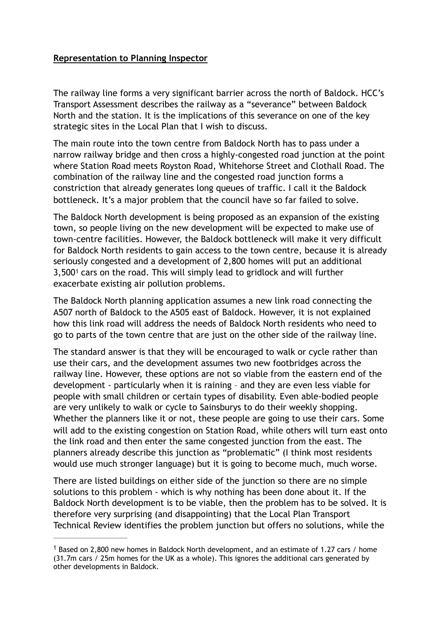## **Representation to Planning Inspector**

The railway line forms a very significant barrier across the north of Baldock. HCC's Transport Assessment describes the railway as a "severance" between Baldock North and the station. It is the implications of this severance on one of the key strategic sites in the Local Plan that I wish to discuss.

The main route into the town centre from Baldock North has to pass under a narrow railway bridge and then cross a highly-congested road junction at the point where Station Road meets Royston Road, Whitehorse Street and Clothall Road. The combination of the railway line and the congested road junction forms a constriction that already generates long queues of traffic. I call it the Baldock bottleneck. It's a major problem that the council have so far failed to solve.

The Baldock North development is being proposed as an expansion of the existing town, so people living on the new development will be expected to make use of town-centre facilities. However, the Baldock bottleneck will make it very difficult for Baldock North residents to gain access to the town centre, because it is already seriously congested and a development of 2,800 homes will put an additional  $3,500<sup>1</sup>$  $3,500<sup>1</sup>$  $3,500<sup>1</sup>$ cars on the road. This will simply lead to gridlock and will further exacerbate existing air pollution problems.

<span id="page-0-1"></span>The Baldock North planning application assumes a new link road connecting the A507 north of Baldock to the A505 east of Baldock. However, it is not explained how this link road will address the needs of Baldock North residents who need to go to parts of the town centre that are just on the other side of the railway line.

The standard answer is that they will be encouraged to walk or cycle rather than use their cars, and the development assumes two new footbridges across the railway line. However, these options are not so viable from the eastern end of the development - particularly when it is raining – and they are even less viable for people with small children or certain types of disability. Even able-bodied people are very unlikely to walk or cycle to Sainsburys to do their weekly shopping. Whether the planners like it or not, these people are going to use their cars. Some will add to the existing congestion on Station Road, while others will turn east onto the link road and then enter the same congested junction from the east. The planners already describe this junction as "problematic" (I think most residents would use much stronger language) but it is going to become much, much worse.

There are listed buildings on either side of the junction so there are no simple solutions to this problem - which is why nothing has been done about it. If the Baldock North development is to be viable, then the problem has to be solved. It is therefore very surprising (and disappointing) that the Local Plan Transport Technical Review identifies the problem junction but offers no solutions, while the

<span id="page-0-0"></span><sup>&</sup>lt;sup>[1](#page-0-1)</sup> Based on 2,800 new homes in Baldock North development, and an estimate of 1.27 cars / home (31.7m cars / 25m homes for the UK as a whole). This ignores the additional cars generated by other developments in Baldock.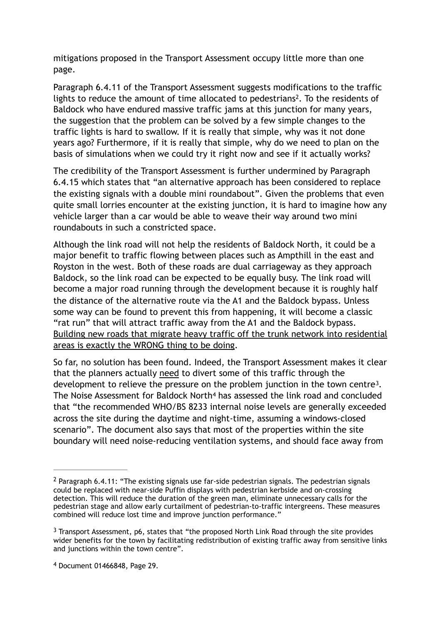mitigations proposed in the Transport Assessment occupy little more than one page.

<span id="page-1-3"></span>Paragraph 6.4.11 of the Transport Assessment suggests modifications to the traffic lights to reduce the amount of time allocated to pedestrians<sup>[2](#page-1-0)</sup>. To the residents of Baldock who have endured massive traffic jams at this junction for many years, the suggestion that the problem can be solved by a few simple changes to the traffic lights is hard to swallow. If it is really that simple, why was it not done years ago? Furthermore, if it is really that simple, why do we need to plan on the basis of simulations when we could try it right now and see if it actually works?

The credibility of the Transport Assessment is further undermined by Paragraph 6.4.15 which states that "an alternative approach has been considered to replace the existing signals with a double mini roundabout". Given the problems that even quite small lorries encounter at the existing junction, it is hard to imagine how any vehicle larger than a car would be able to weave their way around two mini roundabouts in such a constricted space.

Although the link road will not help the residents of Baldock North, it could be a major benefit to traffic flowing between places such as Ampthill in the east and Royston in the west. Both of these roads are dual carriageway as they approach Baldock, so the link road can be expected to be equally busy. The link road will become a major road running through the development because it is roughly half the distance of the alternative route via the A1 and the Baldock bypass. Unless some way can be found to prevent this from happening, it will become a classic "rat run" that will attract traffic away from the A1 and the Baldock bypass. Building new roads that migrate heavy traffic off the trunk network into residential areas is exactly the WRONG thing to be doing.

<span id="page-1-5"></span><span id="page-1-4"></span>So far, no solution has been found. Indeed, the Transport Assessment makes it clear that the planners actually need to divert some of this traffic through the development to relieve the pressure on the problem junction in the town centre<sup>3</sup>[.](#page-1-1) TheNoise Assessment for Baldock North<sup>[4](#page-1-2)</sup> has assessed the link road and concluded that "the recommended WHO/BS 8233 internal noise levels are generally exceeded across the site during the daytime and night-time, assuming a windows-closed scenario". The document also says that most of the properties within the site boundary will need noise-reducing ventilation systems, and should face away from

<span id="page-1-0"></span><sup>&</sup>lt;sup>[2](#page-1-3)</sup> Paragraph 6.4.11: "The existing signals use far-side pedestrian signals. The pedestrian signals could be replaced with near-side Puffin displays with pedestrian kerbside and on-crossing detection. This will reduce the duration of the green man, eliminate unnecessary calls for the pedestrian stage and allow early curtailment of pedestrian-to-traffic intergreens. These measures combined will reduce lost time and improve junction performance."

<span id="page-1-1"></span> $3$  Transport Assessment, p6, states that "the proposed North Link Road through the site provides wider benefits for the town by facilitating redistribution of existing traffic away from sensitive links and junctions within the town centre".

<span id="page-1-2"></span>Document 01466848, Page 29. [4](#page-1-5)